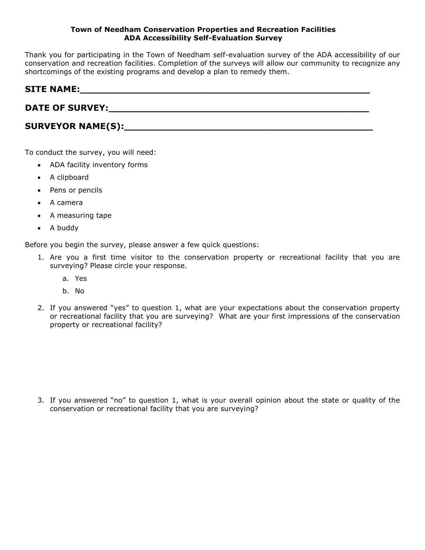Thank you for participating in the Town of Needham self-evaluation survey of the ADA accessibility of our conservation and recreation facilities. Completion of the surveys will allow our community to recognize any shortcomings of the existing programs and develop a plan to remedy them.

| <b>SITE NAME:</b> |  |
|-------------------|--|
|                   |  |

**DATE OF SURVEY:\_\_\_\_\_\_\_\_\_\_\_\_\_\_\_\_\_\_\_\_\_\_\_\_\_\_\_\_\_\_\_\_\_\_\_\_\_\_\_\_\_\_\_\_**

# SURVEYOR NAME(S):

To conduct the survey, you will need:

- ADA facility inventory forms
- A clipboard
- Pens or pencils
- A camera
- A measuring tape
- A buddy

Before you begin the survey, please answer a few quick questions:

- 1. Are you a first time visitor to the conservation property or recreational facility that you are surveying? Please circle your response.
	- a. Yes
	- b. No
- 2. If you answered "yes" to question 1, what are your expectations about the conservation property or recreational facility that you are surveying? What are your first impressions of the conservation property or recreational facility?

3. If you answered "no" to question 1, what is your overall opinion about the state or quality of the conservation or recreational facility that you are surveying?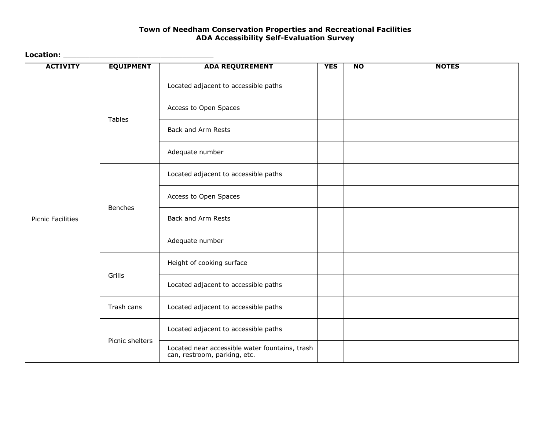### **Location:** \_\_\_\_\_\_\_\_\_\_\_\_\_\_\_\_\_\_\_\_\_\_\_\_\_\_\_\_\_\_\_\_\_\_

| <b>ACTIVITY</b>          | <b>EQUIPMENT</b> | <b>ADA REQUIREMENT</b>                                                         | <b>YES</b> | $\overline{N}$ | <b>NOTES</b> |
|--------------------------|------------------|--------------------------------------------------------------------------------|------------|----------------|--------------|
|                          |                  | Located adjacent to accessible paths                                           |            |                |              |
|                          |                  | Access to Open Spaces                                                          |            |                |              |
|                          | <b>Tables</b>    | Back and Arm Rests                                                             |            |                |              |
|                          |                  | Adequate number                                                                |            |                |              |
|                          |                  | Located adjacent to accessible paths                                           |            |                |              |
|                          | <b>Benches</b>   | Access to Open Spaces                                                          |            |                |              |
| <b>Picnic Facilities</b> |                  | Back and Arm Rests                                                             |            |                |              |
|                          |                  | Adequate number                                                                |            |                |              |
|                          |                  | Height of cooking surface                                                      |            |                |              |
|                          | Grills           | Located adjacent to accessible paths                                           |            |                |              |
|                          | Trash cans       | Located adjacent to accessible paths                                           |            |                |              |
|                          | Picnic shelters  | Located adjacent to accessible paths                                           |            |                |              |
|                          |                  | Located near accessible water fountains, trash<br>can, restroom, parking, etc. |            |                |              |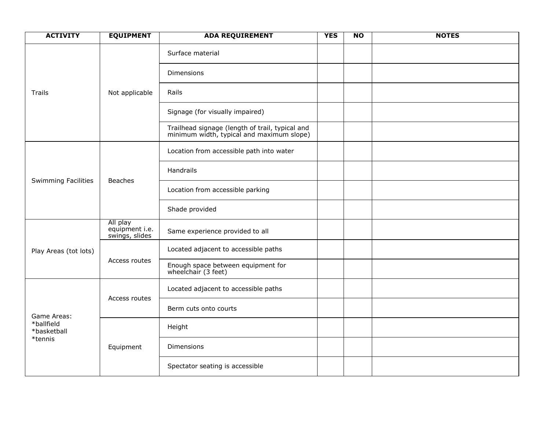| <b>ACTIVITY</b>                          | <b>EQUIPMENT</b>                             | <b>ADA REQUIREMENT</b>                                                                       | <b>YES</b> | N <sub>O</sub> | <b>NOTES</b> |
|------------------------------------------|----------------------------------------------|----------------------------------------------------------------------------------------------|------------|----------------|--------------|
|                                          |                                              | Surface material                                                                             |            |                |              |
|                                          |                                              | Dimensions                                                                                   |            |                |              |
| Not applicable<br>Trails                 |                                              | Rails                                                                                        |            |                |              |
|                                          |                                              | Signage (for visually impaired)                                                              |            |                |              |
|                                          |                                              | Trailhead signage (length of trail, typical and<br>minimum width, typical and maximum slope) |            |                |              |
|                                          |                                              | Location from accessible path into water                                                     |            |                |              |
|                                          |                                              | Handrails                                                                                    |            |                |              |
| <b>Swimming Facilities</b>               | <b>Beaches</b>                               | Location from accessible parking                                                             |            |                |              |
|                                          |                                              | Shade provided                                                                               |            |                |              |
|                                          | All play<br>equipment i.e.<br>swings, slides | Same experience provided to all                                                              |            |                |              |
| Play Areas (tot lots)                    |                                              | Located adjacent to accessible paths                                                         |            |                |              |
|                                          | Access routes                                | Enough space between equipment for<br>wheelchair (3 feet)                                    |            |                |              |
|                                          |                                              | Located adjacent to accessible paths                                                         |            |                |              |
| Game Areas:<br>*ballfield<br>*basketball | Access routes                                | Berm cuts onto courts                                                                        |            |                |              |
|                                          |                                              | Height                                                                                       |            |                |              |
| *tennis                                  | Equipment                                    | <b>Dimensions</b>                                                                            |            |                |              |
|                                          |                                              | Spectator seating is accessible                                                              |            |                |              |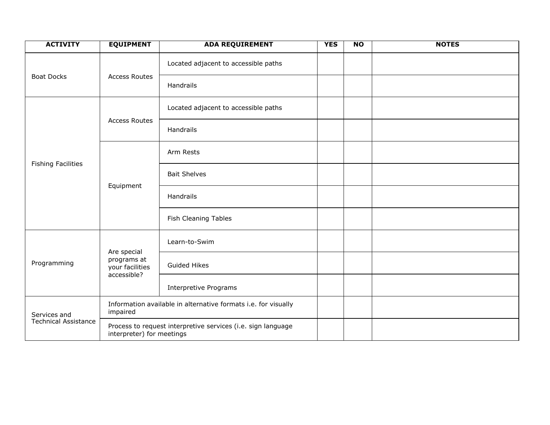| <b>ACTIVITY</b>             | <b>EQUIPMENT</b>                                                                          | <b>ADA REQUIREMENT</b>                                         | <b>YES</b> | $\overline{NQ}$ | <b>NOTES</b> |
|-----------------------------|-------------------------------------------------------------------------------------------|----------------------------------------------------------------|------------|-----------------|--------------|
|                             |                                                                                           | Located adjacent to accessible paths                           |            |                 |              |
| <b>Boat Docks</b>           | <b>Access Routes</b>                                                                      | Handrails                                                      |            |                 |              |
| <b>Access Routes</b>        |                                                                                           | Located adjacent to accessible paths                           |            |                 |              |
|                             |                                                                                           | Handrails                                                      |            |                 |              |
|                             |                                                                                           | Arm Rests                                                      |            |                 |              |
| <b>Fishing Facilities</b>   | Equipment                                                                                 | <b>Bait Shelves</b>                                            |            |                 |              |
|                             |                                                                                           | Handrails                                                      |            |                 |              |
|                             |                                                                                           | Fish Cleaning Tables                                           |            |                 |              |
|                             |                                                                                           | Learn-to-Swim                                                  |            |                 |              |
| Programming                 | Are special<br>programs at<br>your facilities<br>accessible?                              | <b>Guided Hikes</b>                                            |            |                 |              |
|                             |                                                                                           | <b>Interpretive Programs</b>                                   |            |                 |              |
| Services and                | impaired                                                                                  | Information available in alternative formats i.e. for visually |            |                 |              |
| <b>Technical Assistance</b> | Process to request interpretive services (i.e. sign language<br>interpreter) for meetings |                                                                |            |                 |              |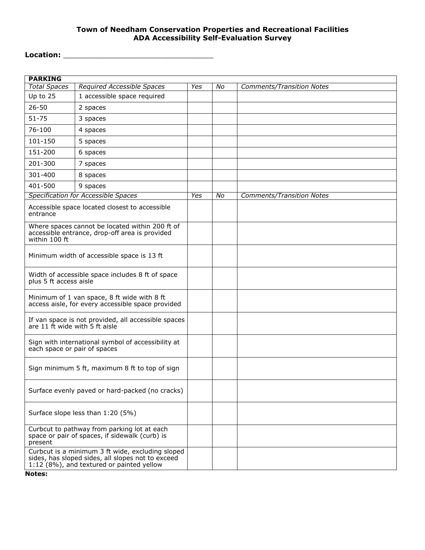# **Location:** \_\_\_\_\_\_\_\_\_\_\_\_\_\_\_\_\_\_\_\_\_\_\_\_\_\_\_\_\_\_\_\_\_\_

| <b>PARKING</b>                                                                                   |                                                                                                                                                    |            |    |                                  |
|--------------------------------------------------------------------------------------------------|----------------------------------------------------------------------------------------------------------------------------------------------------|------------|----|----------------------------------|
| <b>Total Spaces</b>                                                                              | <b>Required Accessible Spaces</b>                                                                                                                  | <b>Yes</b> | Νo | <b>Comments/Transition Notes</b> |
| Up to 25                                                                                         | 1 accessible space required                                                                                                                        |            |    |                                  |
| $26 - 50$                                                                                        | 2 spaces                                                                                                                                           |            |    |                                  |
| $51 - 75$                                                                                        | 3 spaces                                                                                                                                           |            |    |                                  |
| $76 - 100$                                                                                       | 4 spaces                                                                                                                                           |            |    |                                  |
| 101-150                                                                                          | 5 spaces                                                                                                                                           |            |    |                                  |
| 151-200                                                                                          | 6 spaces                                                                                                                                           |            |    |                                  |
| 201-300                                                                                          | 7 spaces                                                                                                                                           |            |    |                                  |
| 301-400                                                                                          | 8 spaces                                                                                                                                           |            |    |                                  |
| 401-500                                                                                          | 9 spaces                                                                                                                                           |            |    |                                  |
|                                                                                                  | Specification for Accessible Spaces                                                                                                                | Yes        | No | <b>Comments/Transition Notes</b> |
| entrance                                                                                         | Accessible space located closest to accessible                                                                                                     |            |    |                                  |
| within 100 ft                                                                                    | Where spaces cannot be located within 200 ft of<br>accessible entrance, drop-off area is provided                                                  |            |    |                                  |
| Minimum width of accessible space is 13 ft                                                       |                                                                                                                                                    |            |    |                                  |
| Width of accessible space includes 8 ft of space<br>plus 5 ft access aisle                       |                                                                                                                                                    |            |    |                                  |
| Minimum of 1 van space, 8 ft wide with 8 ft<br>access aisle, for every accessible space provided |                                                                                                                                                    |            |    |                                  |
| If van space is not provided, all accessible spaces<br>are 11 ft wide with 5 ft aisle            |                                                                                                                                                    |            |    |                                  |
| each space or pair of spaces                                                                     | Sign with international symbol of accessibility at                                                                                                 |            |    |                                  |
| Sign minimum 5 ft, maximum 8 ft to top of sign                                                   |                                                                                                                                                    |            |    |                                  |
| Surface evenly paved or hard-packed (no cracks)                                                  |                                                                                                                                                    |            |    |                                  |
| Surface slope less than 1:20 (5%)                                                                |                                                                                                                                                    |            |    |                                  |
| present                                                                                          | Curbcut to pathway from parking lot at each<br>space or pair of spaces, if sidewalk (curb) is                                                      |            |    |                                  |
|                                                                                                  | Curbcut is a minimum 3 ft wide, excluding sloped<br>sides, has sloped sides, all slopes not to exceed<br>1:12 (8%), and textured or painted yellow |            |    |                                  |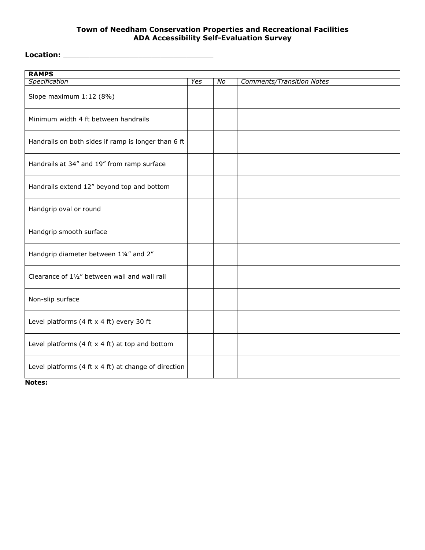**Location:** \_\_\_\_\_\_\_\_\_\_\_\_\_\_\_\_\_\_\_\_\_\_\_\_\_\_\_\_\_\_\_\_\_\_

| <b>RAMPS</b>                                           |     |    |                                  |
|--------------------------------------------------------|-----|----|----------------------------------|
| Specification                                          | Yes | No | <b>Comments/Transition Notes</b> |
| Slope maximum 1:12 (8%)                                |     |    |                                  |
| Minimum width 4 ft between handrails                   |     |    |                                  |
| Handrails on both sides if ramp is longer than 6 ft    |     |    |                                  |
| Handrails at 34" and 19" from ramp surface             |     |    |                                  |
| Handrails extend 12" beyond top and bottom             |     |    |                                  |
| Handgrip oval or round                                 |     |    |                                  |
| Handgrip smooth surface                                |     |    |                                  |
| Handgrip diameter between 11/4" and 2"                 |     |    |                                  |
| Clearance of 11/2" between wall and wall rail          |     |    |                                  |
| Non-slip surface                                       |     |    |                                  |
| Level platforms (4 ft $x$ 4 ft) every 30 ft            |     |    |                                  |
| Level platforms (4 ft $x$ 4 ft) at top and bottom      |     |    |                                  |
| Level platforms (4 ft $x$ 4 ft) at change of direction |     |    |                                  |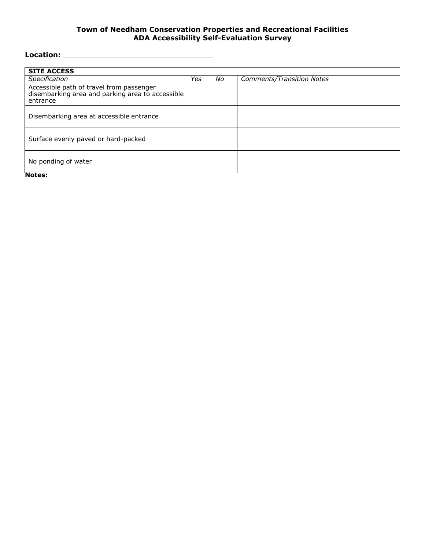# **Location:** \_\_\_\_\_\_\_\_\_\_\_\_\_\_\_\_\_\_\_\_\_\_\_\_\_\_\_\_\_\_\_\_\_\_

| <b>SITE ACCESS</b>                                                                                       |     |    |                                  |
|----------------------------------------------------------------------------------------------------------|-----|----|----------------------------------|
| Specification                                                                                            | Yes | No | <b>Comments/Transition Notes</b> |
| Accessible path of travel from passenger<br>disembarking area and parking area to accessible<br>entrance |     |    |                                  |
| Disembarking area at accessible entrance                                                                 |     |    |                                  |
| Surface evenly paved or hard-packed                                                                      |     |    |                                  |
| No ponding of water<br><b>The Contract</b>                                                               |     |    |                                  |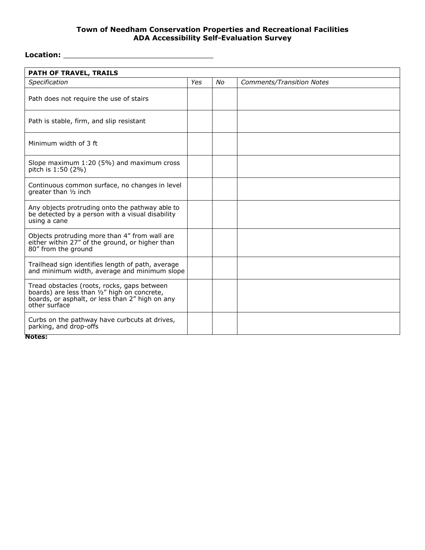# **Location:** \_\_\_\_\_\_\_\_\_\_\_\_\_\_\_\_\_\_\_\_\_\_\_\_\_\_\_\_\_\_\_\_\_\_

| PATH OF TRAVEL, TRAILS                                                                                                                                                     |     |    |                                  |  |  |  |
|----------------------------------------------------------------------------------------------------------------------------------------------------------------------------|-----|----|----------------------------------|--|--|--|
| Specification                                                                                                                                                              | Yes | No | <b>Comments/Transition Notes</b> |  |  |  |
| Path does not require the use of stairs                                                                                                                                    |     |    |                                  |  |  |  |
| Path is stable, firm, and slip resistant                                                                                                                                   |     |    |                                  |  |  |  |
| Minimum width of 3 ft                                                                                                                                                      |     |    |                                  |  |  |  |
| Slope maximum 1:20 (5%) and maximum cross<br>pitch is 1:50 (2%)                                                                                                            |     |    |                                  |  |  |  |
| Continuous common surface, no changes in level<br>greater than 1/2 inch                                                                                                    |     |    |                                  |  |  |  |
| Any objects protruding onto the pathway able to<br>be detected by a person with a visual disability<br>using a cane                                                        |     |    |                                  |  |  |  |
| Objects protruding more than 4" from wall are<br>either within 27" of the ground, or higher than<br>80" from the ground                                                    |     |    |                                  |  |  |  |
| Trailhead sign identifies length of path, average<br>and minimum width, average and minimum slope                                                                          |     |    |                                  |  |  |  |
| Tread obstacles (roots, rocks, gaps between<br>boards) are less than $\frac{i}{2}$ " high on concrete,<br>boards, or asphalt, or less than 2" high on any<br>other surface |     |    |                                  |  |  |  |
| Curbs on the pathway have curbcuts at drives,<br>parking, and drop-offs                                                                                                    |     |    |                                  |  |  |  |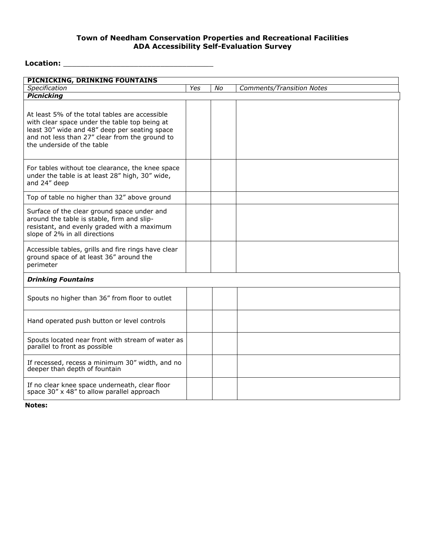# **Location:** \_\_\_\_\_\_\_\_\_\_\_\_\_\_\_\_\_\_\_\_\_\_\_\_\_\_\_\_\_\_\_\_\_\_

| PICNICKING, DRINKING FOUNTAINS                                                                                                                                                                                                   |     |    |                                  |
|----------------------------------------------------------------------------------------------------------------------------------------------------------------------------------------------------------------------------------|-----|----|----------------------------------|
| Specification                                                                                                                                                                                                                    | Yes | No | <b>Comments/Transition Notes</b> |
| <b>Picnicking</b>                                                                                                                                                                                                                |     |    |                                  |
| At least 5% of the total tables are accessible<br>with clear space under the table top being at<br>least 30" wide and 48" deep per seating space<br>and not less than 27" clear from the ground to<br>the underside of the table |     |    |                                  |
| For tables without toe clearance, the knee space<br>under the table is at least 28" high, 30" wide,<br>and 24" deep                                                                                                              |     |    |                                  |
| Top of table no higher than 32" above ground                                                                                                                                                                                     |     |    |                                  |
| Surface of the clear ground space under and<br>around the table is stable, firm and slip-<br>resistant, and evenly graded with a maximum<br>slope of 2% in all directions                                                        |     |    |                                  |
| Accessible tables, grills and fire rings have clear<br>ground space of at least 36" around the<br>perimeter                                                                                                                      |     |    |                                  |
| <b>Drinking Fountains</b>                                                                                                                                                                                                        |     |    |                                  |
| Spouts no higher than 36" from floor to outlet                                                                                                                                                                                   |     |    |                                  |
| Hand operated push button or level controls                                                                                                                                                                                      |     |    |                                  |
| Spouts located near front with stream of water as<br>parallel to front as possible                                                                                                                                               |     |    |                                  |
| If recessed, recess a minimum 30" width, and no<br>deeper than depth of fountain                                                                                                                                                 |     |    |                                  |
| If no clear knee space underneath, clear floor<br>space 30" x 48" to allow parallel approach                                                                                                                                     |     |    |                                  |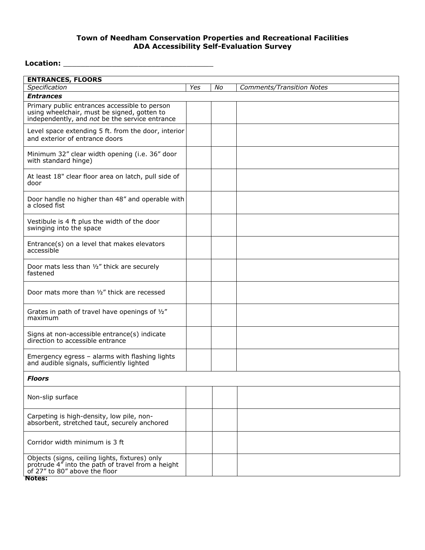### **Location:** \_\_\_\_\_\_\_\_\_\_\_\_\_\_\_\_\_\_\_\_\_\_\_\_\_\_\_\_\_\_\_\_\_\_

| <b>ENTRANCES, FLOORS</b>                                                                                                                       |     |    |                                  |  |  |  |  |
|------------------------------------------------------------------------------------------------------------------------------------------------|-----|----|----------------------------------|--|--|--|--|
| Specification                                                                                                                                  | Yes | No | <b>Comments/Transition Notes</b> |  |  |  |  |
| <b>Entrances</b>                                                                                                                               |     |    |                                  |  |  |  |  |
| Primary public entrances accessible to person<br>using wheelchair, must be signed, gotten to<br>independently, and not be the service entrance |     |    |                                  |  |  |  |  |
| Level space extending 5 ft. from the door, interior<br>and exterior of entrance doors                                                          |     |    |                                  |  |  |  |  |
| Minimum 32" clear width opening (i.e. 36" door<br>with standard hinge)                                                                         |     |    |                                  |  |  |  |  |
| At least 18" clear floor area on latch, pull side of<br>door                                                                                   |     |    |                                  |  |  |  |  |
| Door handle no higher than 48" and operable with<br>a closed fist                                                                              |     |    |                                  |  |  |  |  |
| Vestibule is 4 ft plus the width of the door<br>swinging into the space                                                                        |     |    |                                  |  |  |  |  |
| Entrance(s) on a level that makes elevators<br>accessible                                                                                      |     |    |                                  |  |  |  |  |
| Door mats less than 1/2" thick are securely<br>fastened                                                                                        |     |    |                                  |  |  |  |  |
| Door mats more than 1/2" thick are recessed                                                                                                    |     |    |                                  |  |  |  |  |
| Grates in path of travel have openings of 1/2"<br>maximum                                                                                      |     |    |                                  |  |  |  |  |
| Signs at non-accessible entrance(s) indicate<br>direction to accessible entrance                                                               |     |    |                                  |  |  |  |  |
| Emergency egress - alarms with flashing lights<br>and audible signals, sufficiently lighted                                                    |     |    |                                  |  |  |  |  |
| <b>Floors</b>                                                                                                                                  |     |    |                                  |  |  |  |  |
| Non-slip surface                                                                                                                               |     |    |                                  |  |  |  |  |
| Carpeting is high-density, low pile, non-<br>absorbent, stretched taut, securely anchored                                                      |     |    |                                  |  |  |  |  |
| Corridor width minimum is 3 ft                                                                                                                 |     |    |                                  |  |  |  |  |
| Objects (signs, ceiling lights, fixtures) only<br>protrude 4" into the path of travel from a height<br>of 27" to 80" above the floor           |     |    |                                  |  |  |  |  |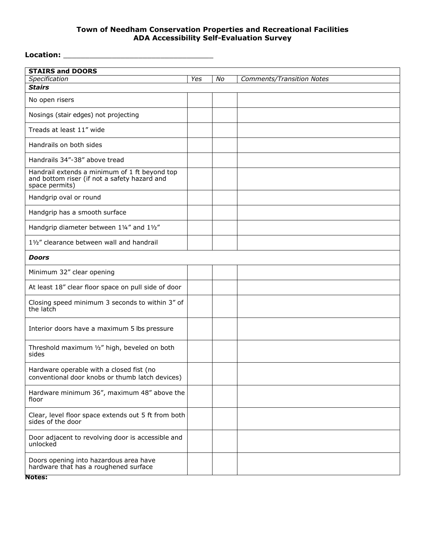# **Location:** \_\_\_\_\_\_\_\_\_\_\_\_\_\_\_\_\_\_\_\_\_\_\_\_\_\_\_\_\_\_\_\_\_\_

| <b>STAIRS and DOORS</b>                                                                                         |     |    |                                  |
|-----------------------------------------------------------------------------------------------------------------|-----|----|----------------------------------|
| Specification                                                                                                   | Yes | No | <b>Comments/Transition Notes</b> |
| <b>Stairs</b>                                                                                                   |     |    |                                  |
| No open risers                                                                                                  |     |    |                                  |
| Nosings (stair edges) not projecting                                                                            |     |    |                                  |
| Treads at least 11" wide                                                                                        |     |    |                                  |
| Handrails on both sides                                                                                         |     |    |                                  |
| Handrails 34"-38" above tread                                                                                   |     |    |                                  |
| Handrail extends a minimum of 1 ft beyond top<br>and bottom riser (if not a safety hazard and<br>space permits) |     |    |                                  |
| Handgrip oval or round                                                                                          |     |    |                                  |
| Handgrip has a smooth surface                                                                                   |     |    |                                  |
| Handgrip diameter between 11/4" and 11/2"                                                                       |     |    |                                  |
| 11/2" clearance between wall and handrail                                                                       |     |    |                                  |
| <b>Doors</b>                                                                                                    |     |    |                                  |
| Minimum 32" clear opening                                                                                       |     |    |                                  |
| At least 18" clear floor space on pull side of door                                                             |     |    |                                  |
| Closing speed minimum 3 seconds to within 3" of<br>the latch                                                    |     |    |                                  |
| Interior doors have a maximum 5 lbs pressure                                                                    |     |    |                                  |
| Threshold maximum 1/2" high, beveled on both<br>sides                                                           |     |    |                                  |
| Hardware operable with a closed fist (no<br>conventional door knobs or thumb latch devices)                     |     |    |                                  |
| Hardware minimum 36", maximum 48" above the<br>floor                                                            |     |    |                                  |
| Clear, level floor space extends out 5 ft from both<br>sides of the door                                        |     |    |                                  |
| Door adjacent to revolving door is accessible and<br>unlocked                                                   |     |    |                                  |
| Doors opening into hazardous area have<br>hardware that has a roughened surface                                 |     |    |                                  |
| <b>Notes:</b>                                                                                                   |     |    |                                  |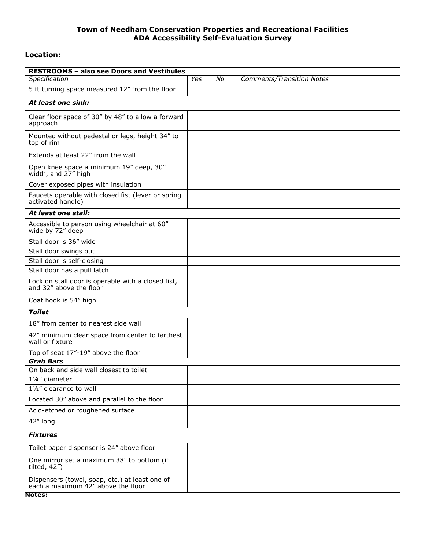# **Location:** \_\_\_\_\_\_\_\_\_\_\_\_\_\_\_\_\_\_\_\_\_\_\_\_\_\_\_\_\_\_\_\_\_\_

| <b>RESTROOMS - also see Doors and Vestibules</b>                                     |     |    |                                  |
|--------------------------------------------------------------------------------------|-----|----|----------------------------------|
| Specification                                                                        | Yes | No | <b>Comments/Transition Notes</b> |
| 5 ft turning space measured 12" from the floor                                       |     |    |                                  |
| At least one sink:                                                                   |     |    |                                  |
| Clear floor space of 30" by 48" to allow a forward<br>approach                       |     |    |                                  |
| Mounted without pedestal or legs, height 34" to<br>top of rim                        |     |    |                                  |
| Extends at least 22" from the wall                                                   |     |    |                                  |
| Open knee space a minimum 19" deep, 30"<br>width, and 27" high                       |     |    |                                  |
| Cover exposed pipes with insulation                                                  |     |    |                                  |
| Faucets operable with closed fist (lever or spring<br>activated handle)              |     |    |                                  |
| At least one stall:                                                                  |     |    |                                  |
| Accessible to person using wheelchair at 60"<br>wide by 72" deep                     |     |    |                                  |
| Stall door is 36" wide                                                               |     |    |                                  |
| Stall door swings out                                                                |     |    |                                  |
| Stall door is self-closing                                                           |     |    |                                  |
| Stall door has a pull latch                                                          |     |    |                                  |
| Lock on stall door is operable with a closed fist,<br>and 32" above the floor        |     |    |                                  |
| Coat hook is 54" high                                                                |     |    |                                  |
| <b>Toilet</b>                                                                        |     |    |                                  |
| 18" from center to nearest side wall                                                 |     |    |                                  |
| 42" minimum clear space from center to farthest<br>wall or fixture                   |     |    |                                  |
| Top of seat 17"-19" above the floor                                                  |     |    |                                  |
| <b>Grab Bars</b>                                                                     |     |    |                                  |
| On back and side wall closest to toilet                                              |     |    |                                  |
| 11/4" diameter                                                                       |     |    |                                  |
| 11/2" clearance to wall                                                              |     |    |                                  |
| Located 30" above and parallel to the floor                                          |     |    |                                  |
| Acid-etched or roughened surface                                                     |     |    |                                  |
| 42" long                                                                             |     |    |                                  |
| <b>Fixtures</b>                                                                      |     |    |                                  |
| Toilet paper dispenser is 24" above floor                                            |     |    |                                  |
| One mirror set a maximum 38" to bottom (if<br>tilted, 42")                           |     |    |                                  |
| Dispensers (towel, soap, etc.) at least one of<br>each a maximum 42" above the floor |     |    |                                  |
| <b>Notes:</b>                                                                        |     |    |                                  |